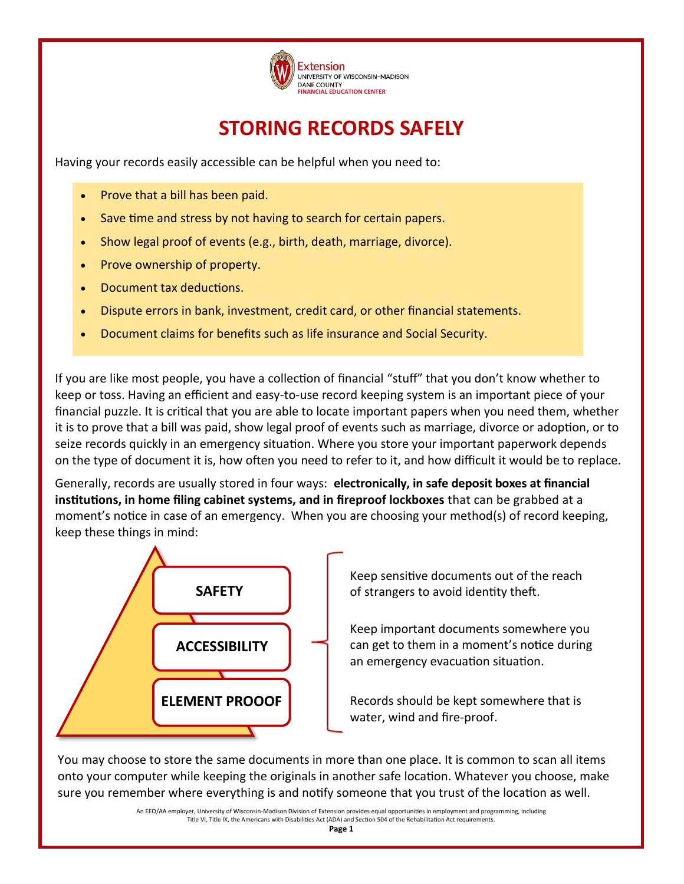

# **STORING RECORDS SAFELY**

Having your records easily accessible can be helpful when you need to:

- Prove that a bill has been paid.
- Save time and stress by not having to search for certain papers.
- Show legal proof of events (e.g., birth, death, marriage, divorce).
- Prove ownership of property.
- Document tax deductions.
- Dispute errors in bank, investment, credit card, or other financial statements.
- Document claims for benefits such as life insurance and Social Security.

If you are like most people, you have a collection of financial "stuff" that you don't know whether to keep or toss. Having an efficient and easy-to-use record keeping system is an important piece of your financial puzzle. It is critical that you are able to locate important papers when you need them, whether it is to prove that a bill was paid, show legal proof of events such as marriage, divorce or adoption, or to seize records quickly in an emergency situation. Where you store your important paperwork depends on the type of document it is, how often you need to refer to it, and how difficult it would be to replace.

Generally, records are usually stored in four ways: **electronically, in safe deposit boxes at financial institutions, in home filing cabinet systems, and in fireproof lockboxes** that can be grabbed at a moment's notice in case of an emergency. When you are choosing your method(s) of record keeping, keep these things in mind:



Keep sensitive documents out of the reach of strangers to avoid identity theft.

Keep important documents somewhere you can get to them in a moment's notice during an emergency evacuation situation.

Records should be kept somewhere that is water, wind and fire-proof.

You may choose to store the same documents in more than one place. It is common to scan all items onto your computer while keeping the originals in another safe location. Whatever you choose, make sure you remember where everything is and notify someone that you trust of the location as well.

> An EEO/AA employer, University of Wisconsin-Madison Division of Extension provides equal opportunities in employment and programming, including Title VI, Title IX, the Americans with Disabilities Act (ADA) and Section 504 of the Rehabilitation Act requirements.